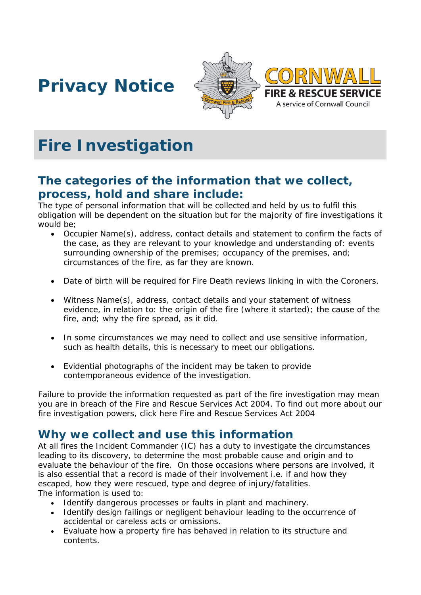





# **Fire Investigation**

### **The categories of the information that we collect, process, hold and share include:**

The type of personal information that will be collected and held by us to fulfil this obligation will be dependent on the situation but for the majority of fire investigations it would be;

- Occupier Name(s), address, contact details and statement to confirm the facts of the case, as they are relevant to your knowledge and understanding of: events surrounding ownership of the premises; occupancy of the premises, and; circumstances of the fire, as far they are known.
- Date of birth will be required for Fire Death reviews linking in with the Coroners.
- Witness Name(s), address, contact details and your statement of witness evidence, in relation to: the origin of the fire (where it started); the cause of the fire, and; why the fire spread, as it did.
- In some circumstances we may need to collect and use sensitive information, such as health details, this is necessary to meet our obligations.
- Evidential photographs of the incident may be taken to provide contemporaneous evidence of the investigation.

Failure to provide the information requested as part of the fire investigation may mean you are in breach of the Fire and Rescue Services Act 2004. To find out more about our fire investigation powers, click here Fire and Rescue Services Act 2004

### **Why we collect and use this information**

At all fires the Incident Commander (IC) has a duty to investigate the circumstances leading to its discovery, to determine the most probable cause and origin and to evaluate the behaviour of the fire. On those occasions where persons are involved, it is also essential that a record is made of their involvement i.e. if and how they escaped, how they were rescued, type and degree of injury/fatalities. The information is used to:

- Identify dangerous processes or faults in plant and machinery.
- Identify design failings or negligent behaviour leading to the occurrence of accidental or careless acts or omissions.
- Evaluate how a property fire has behaved in relation to its structure and contents.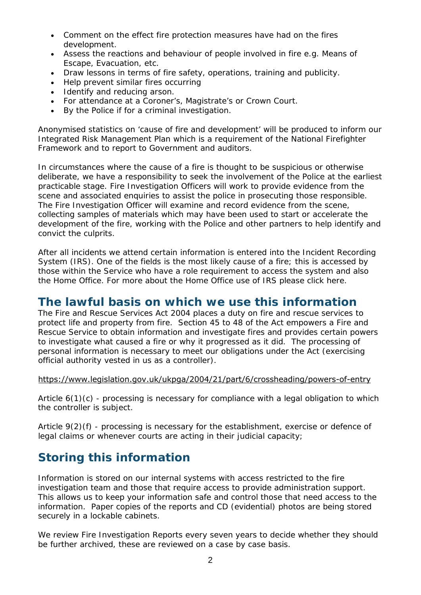- Comment on the effect fire protection measures have had on the fires development.
- Assess the reactions and behaviour of people involved in fire e.g. Means of Escape, Evacuation, etc.
- Draw lessons in terms of fire safety, operations, training and publicity.
- Help prevent similar fires occurring
- I dentify and reducing arson.
- For attendance at a Coroner's, Magistrate's or Crown Court.
- By the Police if for a criminal investigation.

Anonymised statistics on 'cause of fire and development' will be produced to inform our Integrated Risk Management Plan which is a requirement of the National Firefighter Framework and to report to Government and auditors.

In circumstances where the cause of a fire is thought to be suspicious or otherwise deliberate, we have a responsibility to seek the involvement of the Police at the earliest practicable stage. Fire Investigation Officers will work to provide evidence from the scene and associated enquiries to assist the police in prosecuting those responsible. The Fire Investigation Officer will examine and record evidence from the scene, collecting samples of materials which may have been used to start or accelerate the development of the fire, working with the Police and other partners to help identify and convict the culprits.

After all incidents we attend certain information is entered into the Incident Recording System (IRS). One of the fields is the most likely cause of a fire; this is accessed by those within the Service who have a role requirement to access the system and also the Home Office. For more about the Home Office use of IRS please click here.

#### **The lawful basis on which we use this information**

The Fire and Rescue Services Act 2004 places a duty on fire and rescue services to protect life and property from fire. Section 45 to 48 of the Act empowers a Fire and Rescue Service to obtain information and investigate fires and provides certain powers to investigate what caused a fire or why it progressed as it did. The processing of personal information is necessary to meet our obligations under the Act (exercising official authority vested in us as a controller).

#### <https://www.legislation.gov.uk/ukpga/2004/21/part/6/crossheading/powers-of-entry>

Article  $6(1)(c)$  - processing is necessary for compliance with a legal obligation to which the controller is subject.

Article 9(2)(f) - processing is necessary for the establishment, exercise or defence of legal claims or whenever courts are acting in their judicial capacity;

### **Storing this information**

Information is stored on our internal systems with access restricted to the fire investigation team and those that require access to provide administration support. This allows us to keep your information safe and control those that need access to the information. Paper copies of the reports and CD (evidential) photos are being stored securely in a lockable cabinets.

We review Fire Investigation Reports every seven years to decide whether they should be further archived, these are reviewed on a case by case basis.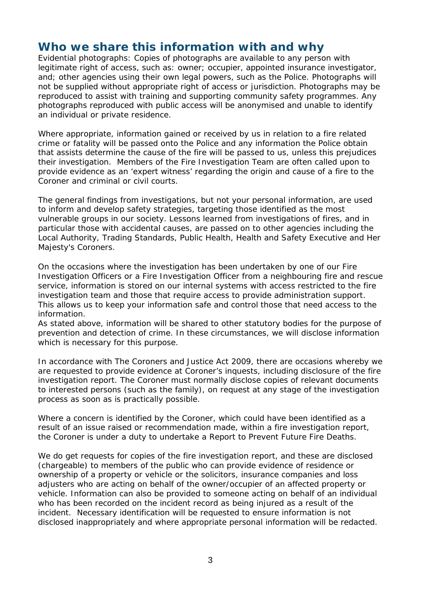#### **Who we share this information with and why**

Evidential photographs: Copies of photographs are available to any person with legitimate right of access, such as: owner; occupier, appointed insurance investigator, and; other agencies using their own legal powers, such as the Police. Photographs will not be supplied without appropriate right of access or jurisdiction. Photographs may be reproduced to assist with training and supporting community safety programmes. Any photographs reproduced with public access will be anonymised and unable to identify an individual or private residence.

Where appropriate, information gained or received by us in relation to a fire related crime or fatality will be passed onto the Police and any information the Police obtain that assists determine the cause of the fire will be passed to us, unless this prejudices their investigation. Members of the Fire Investigation Team are often called upon to provide evidence as an 'expert witness' regarding the origin and cause of a fire to the Coroner and criminal or civil courts.

The general findings from investigations, but not your personal information, are used to inform and develop safety strategies, targeting those identified as the most vulnerable groups in our society. Lessons learned from investigations of fires, and in particular those with accidental causes, are passed on to other agencies including the Local Authority, Trading Standards, Public Health, Health and Safety Executive and Her Majesty's Coroners.

On the occasions where the investigation has been undertaken by one of our Fire Investigation Officers or a Fire Investigation Officer from a neighbouring fire and rescue service, information is stored on our internal systems with access restricted to the fire investigation team and those that require access to provide administration support. This allows us to keep your information safe and control those that need access to the information.

As stated above, information will be shared to other statutory bodies for the purpose of prevention and detection of crime. In these circumstances, we will disclose information which is necessary for this purpose.

In accordance with The Coroners and Justice Act 2009, there are occasions whereby we are requested to provide evidence at Coroner's inquests, including disclosure of the fire investigation report. The Coroner must normally disclose copies of relevant documents to interested persons (such as the family), on request at any stage of the investigation process as soon as is practically possible.

Where a concern is identified by the Coroner, which could have been identified as a result of an issue raised or recommendation made, within a fire investigation report, the Coroner is under a duty to undertake a Report to Prevent Future Fire Deaths.

We do get requests for copies of the fire investigation report, and these are disclosed (chargeable) to members of the public who can provide evidence of residence or ownership of a property or vehicle or the solicitors, insurance companies and loss adjusters who are acting on behalf of the owner/occupier of an affected property or vehicle. Information can also be provided to someone acting on behalf of an individual who has been recorded on the incident record as being injured as a result of the incident. Necessary identification will be requested to ensure information is not disclosed inappropriately and where appropriate personal information will be redacted.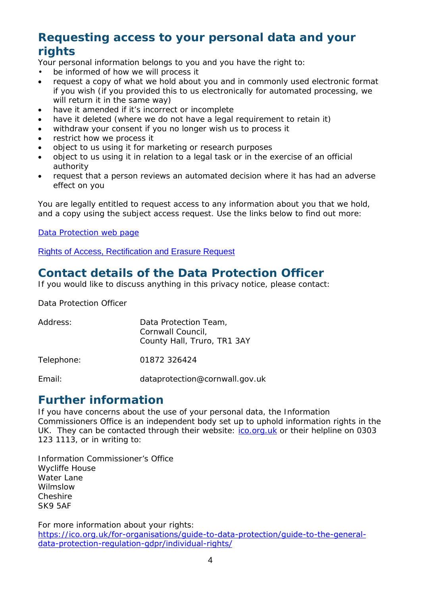# **Requesting access to your personal data and your rights**

Your personal information belongs to you and you have the right to:

- be informed of how we will process it
- request a copy of what we hold about you and in commonly used electronic format if you wish (if you provided this to us electronically for automated processing, we will return it in the same way)
- have it amended if it's incorrect or incomplete
- have it deleted (where we do not have a legal requirement to retain it)
- withdraw your consent if you no longer wish us to process it
- restrict how we process it
- object to us using it for marketing or research purposes
- object to us using it in relation to a legal task or in the exercise of an official authority
- request that a person reviews an automated decision where it has had an adverse effect on you

You are legally entitled to request access to any information about you that we hold, and a copy using the subject access request. Use the links below to find out more:

[Data Protection web page](http://www.cornwall.gov.uk/council-and-democracy/data-protection-and-freedom-of-information/data-protection)

[Rights of Access, Rectification and Erasure Request](https://www.cornwall.gov.uk/media/33315555/form-2018-rare-form-blank.pdf)

# **Contact details of the Data Protection Officer**

If you would like to discuss anything in this privacy notice, please contact:

Data Protection Officer

| Address:   | Data Protection Team,<br>Cornwall Council,<br>County Hall, Truro, TR1 3AY |
|------------|---------------------------------------------------------------------------|
| Telephone: | 01872 326424                                                              |
| Email:     | dataprotection@cornwall.gov.uk                                            |

### **Further information**

If you have concerns about the use of your personal data, the Information Commissioners Office is an independent body set up to uphold information rights in the UK. They can be contacted through their website: [ico.org.uk](https://ico.org.uk/) or their helpline on 0303 123 1113, or in writing to:

Information Commissioner's Office Wycliffe House Water Lane Wilmslow Cheshire SK9 5AF

For more information about your rights: https://ico.org.uk[/for-organisations/guide-to-data-protection/guide-to-the-general](https://ico.org.uk/for-organisations/guide-to-data-protection/guide-to-the-general-data-protection-regulation-gdpr/individual-rights/)data-protection-regulation-gdpr/individual-rights/